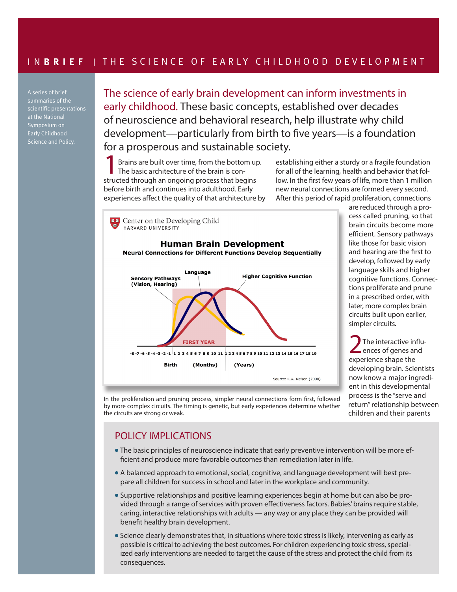A series of brief summaries of the scientific presentations at the National Symposium on Early Childhood Science and Policy.

The science of early brain development can inform investments in early childhood. These basic concepts, established over decades of neuroscience and behavioral research, help illustrate why child development—particularly from birth to five years—is a foundation for a prosperous and sustainable society.

Brains are built over time, from the bottom up. The basic architecture of the brain is constructed through an ongoing process that begins before birth and continues into adulthood. Early experiences affect the quality of that architecture by

establishing either a sturdy or a fragile foundation for all of the learning, health and behavior that follow. In the first few years of life, more than 1 million new neural connections are formed every second. After this period of rapid proliferation, connections



are reduced through a process called pruning, so that brain circuits become more efficient. Sensory pathways like those for basic vision and hearing are the first to develop, followed by early language skills and higher cognitive functions. Connections proliferate and prune in a prescribed order, with later, more complex brain circuits built upon earlier, simpler circuits.

2The interactive influ-<br>ences of genes and experience shape the developing brain. Scientists now know a major ingredient in this developmental process is the "serve and return" relationship between children and their parents

In the proliferation and pruning process, simpler neural connections form first, followed by more complex circuits. The timing is genetic, but early experiences determine whether the circuits are strong or weak.

## POLICY IMPLICATIONS

- The basic principles of neuroscience indicate that early preventive intervention will be more efficient and produce more favorable outcomes than remediation later in life.
- A balanced approach to emotional, social, cognitive, and language development will best prepare all children for success in school and later in the workplace and community.
- Supportive relationships and positive learning experiences begin at home but can also be provided through a range of services with proven effectiveness factors. Babies' brains require stable, caring, interactive relationships with adults — any way or any place they can be provided will benefit healthy brain development.
- <sup>l</sup> Science clearly demonstrates that, in situations where toxic stress is likely, intervening as early as possible is critical to achieving the best outcomes. For children experiencing toxic stress, specialized early interventions are needed to target the cause of the stress and protect the child from its consequences.